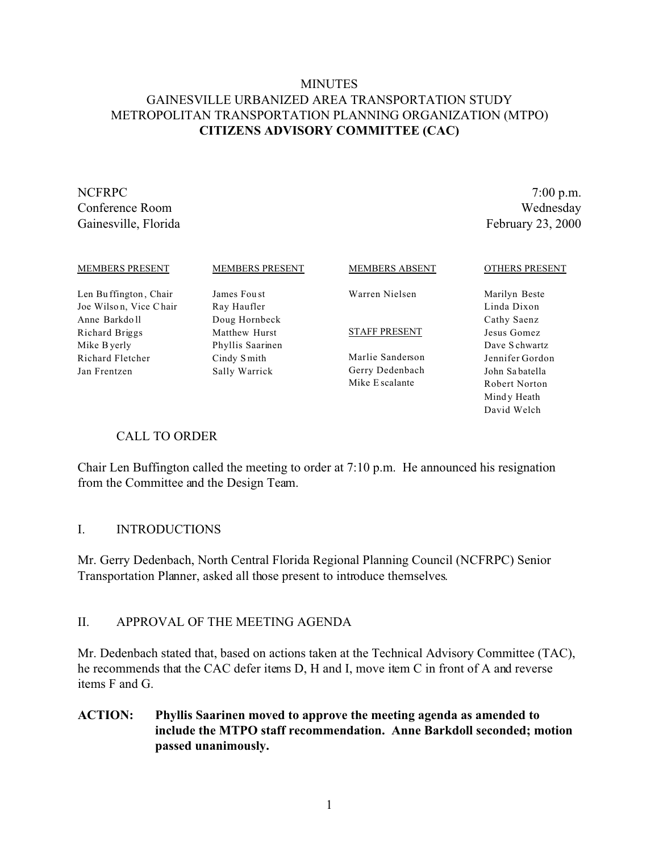### **MINUTES** GAINESVILLE URBANIZED AREA TRANSPORTATION STUDY METROPOLITAN TRANSPORTATION PLANNING ORGANIZATION (MTPO) **CITIZENS ADVISORY COMMITTEE (CAC)**

NCFRPC 7:00 p.m. Conference Room Wednesday Gainesville, Florida February 23, 2000

| <b>MEMBERS PRESENT</b> | <b>MEMBERS PRESENT</b> | <b>MEMBERS ABSENT</b> | <b>OTHERS PRESENT</b> |
|------------------------|------------------------|-----------------------|-----------------------|
| Len Buffington, Chair  | James Foust            | Warren Nielsen        | Marilyn Beste         |
| Joe Wilson, Vice Chair | Ray Haufler            |                       | Linda Dixon           |
| Anne Barkdoll          | Doug Hornbeck          |                       | Cathy Saenz           |
| Richard Briggs         | Matthew Hurst          | <b>STAFF PRESENT</b>  | Jesus Gomez           |
| Mike B yerly           | Phyllis Saarinen       |                       | Dave Schwartz         |
| Richard Fletcher       | Cindy Smith            | Marlie Sanderson      | Jennifer Gordon       |
| Jan Frentzen           | Sally Warrick          | Gerry Dedenbach       | John Sabatella        |
|                        |                        | Mike E scalante       | Robert Norton         |
|                        |                        |                       | Mindy Heath           |
|                        |                        |                       | David Welch           |

### CALL TO ORDER

Chair Len Buffington called the meeting to order at 7:10 p.m. He announced his resignation from the Committee and the Design Team.

#### I. INTRODUCTIONS

Mr. Gerry Dedenbach, North Central Florida Regional Planning Council (NCFRPC) Senior Transportation Planner, asked all those present to introduce themselves.

#### II. APPROVAL OF THE MEETING AGENDA

Mr. Dedenbach stated that, based on actions taken at the Technical Advisory Committee (TAC), he recommends that the CAC defer items D, H and I, move item C in front of A and reverse items F and G.

### **ACTION: Phyllis Saarinen moved to approve the meeting agenda as amended to include the MTPO staff recommendation. Anne Barkdoll seconded; motion passed unanimously.**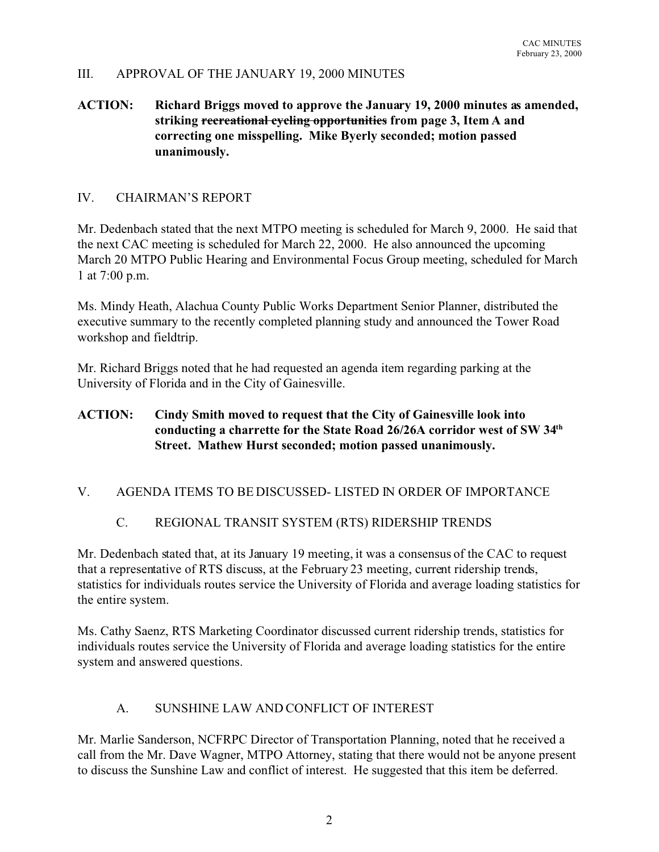#### III. APPROVAL OF THE JANUARY 19, 2000 MINUTES

### **ACTION: Richard Briggs moved to approve the January 19, 2000 minutes as amended, striking recreational cycling opportunities from page 3, Item A and correcting one misspelling. Mike Byerly seconded; motion passed unanimously.**

### IV. CHAIRMAN'S REPORT

Mr. Dedenbach stated that the next MTPO meeting is scheduled for March 9, 2000. He said that the next CAC meeting is scheduled for March 22, 2000. He also announced the upcoming March 20 MTPO Public Hearing and Environmental Focus Group meeting, scheduled for March 1 at 7:00 p.m.

Ms. Mindy Heath, Alachua County Public Works Department Senior Planner, distributed the executive summary to the recently completed planning study and announced the Tower Road workshop and fieldtrip.

Mr. Richard Briggs noted that he had requested an agenda item regarding parking at the University of Florida and in the City of Gainesville.

### **ACTION: Cindy Smith moved to request that the City of Gainesville look into conducting a charrette for the State Road 26/26A corridor west of SW 34th Street. Mathew Hurst seconded; motion passed unanimously.**

### V. AGENDA ITEMS TO BE DISCUSSED- LISTED IN ORDER OF IMPORTANCE

### C. REGIONAL TRANSIT SYSTEM (RTS) RIDERSHIP TRENDS

Mr. Dedenbach stated that, at its January 19 meeting, it was a consensus of the CAC to request that a representative of RTS discuss, at the February 23 meeting, current ridership trends, statistics for individuals routes service the University of Florida and average loading statistics for the entire system.

Ms. Cathy Saenz, RTS Marketing Coordinator discussed current ridership trends, statistics for individuals routes service the University of Florida and average loading statistics for the entire system and answered questions.

#### A. SUNSHINE LAW AND CONFLICT OF INTEREST

Mr. Marlie Sanderson, NCFRPC Director of Transportation Planning, noted that he received a call from the Mr. Dave Wagner, MTPO Attorney, stating that there would not be anyone present to discuss the Sunshine Law and conflict of interest. He suggested that this item be deferred.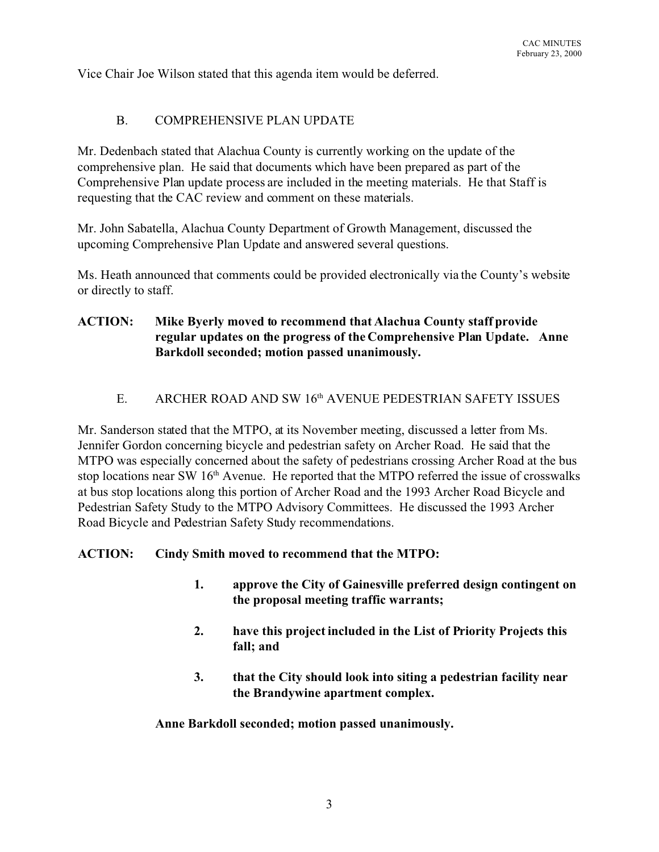Vice Chair Joe Wilson stated that this agenda item would be deferred.

#### B. COMPREHENSIVE PLAN UPDATE

Mr. Dedenbach stated that Alachua County is currently working on the update of the comprehensive plan. He said that documents which have been prepared as part of the Comprehensive Plan update process are included in the meeting materials. He that Staff is requesting that the CAC review and comment on these materials.

Mr. John Sabatella, Alachua County Department of Growth Management, discussed the upcoming Comprehensive Plan Update and answered several questions.

Ms. Heath announced that comments could be provided electronically via the County's website or directly to staff.

### **ACTION: Mike Byerly moved to recommend that Alachua County staff provide regular updates on the progress of the Comprehensive Plan Update. Anne Barkdoll seconded; motion passed unanimously.**

### E. ARCHER ROAD AND SW 16<sup>th</sup> AVENUE PEDESTRIAN SAFETY ISSUES

Mr. Sanderson stated that the MTPO, at its November meeting, discussed a letter from Ms. Jennifer Gordon concerning bicycle and pedestrian safety on Archer Road. He said that the MTPO was especially concerned about the safety of pedestrians crossing Archer Road at the bus stop locations near SW  $16<sup>th</sup>$  Avenue. He reported that the MTPO referred the issue of crosswalks at bus stop locations along this portion of Archer Road and the 1993 Archer Road Bicycle and Pedestrian Safety Study to the MTPO Advisory Committees. He discussed the 1993 Archer Road Bicycle and Pedestrian Safety Study recommendations.

### **ACTION: Cindy Smith moved to recommend that the MTPO:**

- **1. approve the City of Gainesville preferred design contingent on the proposal meeting traffic warrants;**
- **2. have this project included in the List of Priority Projects this fall; and**
- **3. that the City should look into siting a pedestrian facility near the Brandywine apartment complex.**

**Anne Barkdoll seconded; motion passed unanimously.**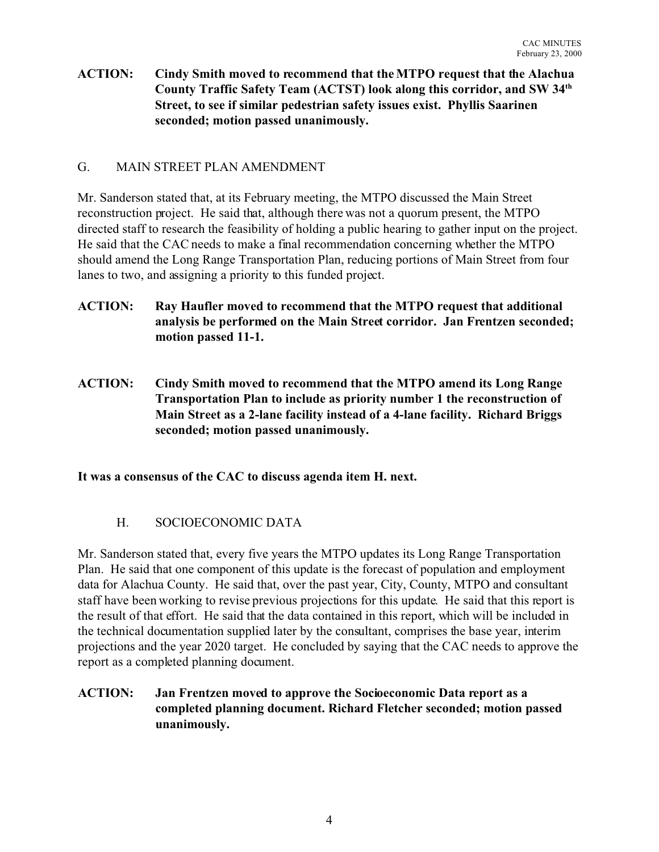### **ACTION: Cindy Smith moved to recommend that the MTPO request that the Alachua County Traffic Safety Team (ACTST) look along this corridor, and SW 34th Street, to see if similar pedestrian safety issues exist. Phyllis Saarinen seconded; motion passed unanimously.**

#### G. MAIN STREET PLAN AMENDMENT

Mr. Sanderson stated that, at its February meeting, the MTPO discussed the Main Street reconstruction project. He said that, although there was not a quorum present, the MTPO directed staff to research the feasibility of holding a public hearing to gather input on the project. He said that the CAC needs to make a final recommendation concerning whether the MTPO should amend the Long Range Transportation Plan, reducing portions of Main Street from four lanes to two, and assigning a priority to this funded project.

- **ACTION: Ray Haufler moved to recommend that the MTPO request that additional analysis be performed on the Main Street corridor. Jan Frentzen seconded; motion passed 11-1.**
- **ACTION: Cindy Smith moved to recommend that the MTPO amend its Long Range Transportation Plan to include as priority number 1 the reconstruction of Main Street as a 2-lane facility instead of a 4-lane facility. Richard Briggs seconded; motion passed unanimously.**

**It was a consensus of the CAC to discuss agenda item H. next.**

# H. SOCIOECONOMIC DATA

Mr. Sanderson stated that, every five years the MTPO updates its Long Range Transportation Plan. He said that one component of this update is the forecast of population and employment data for Alachua County. He said that, over the past year, City, County, MTPO and consultant staff have been working to revise previous projections for this update. He said that this report is the result of that effort. He said that the data contained in this report, which will be included in the technical documentation supplied later by the consultant, comprises the base year, interim projections and the year 2020 target. He concluded by saying that the CAC needs to approve the report as a completed planning document.

**ACTION: Jan Frentzen moved to approve the Socioeconomic Data report as a completed planning document. Richard Fletcher seconded; motion passed unanimously.**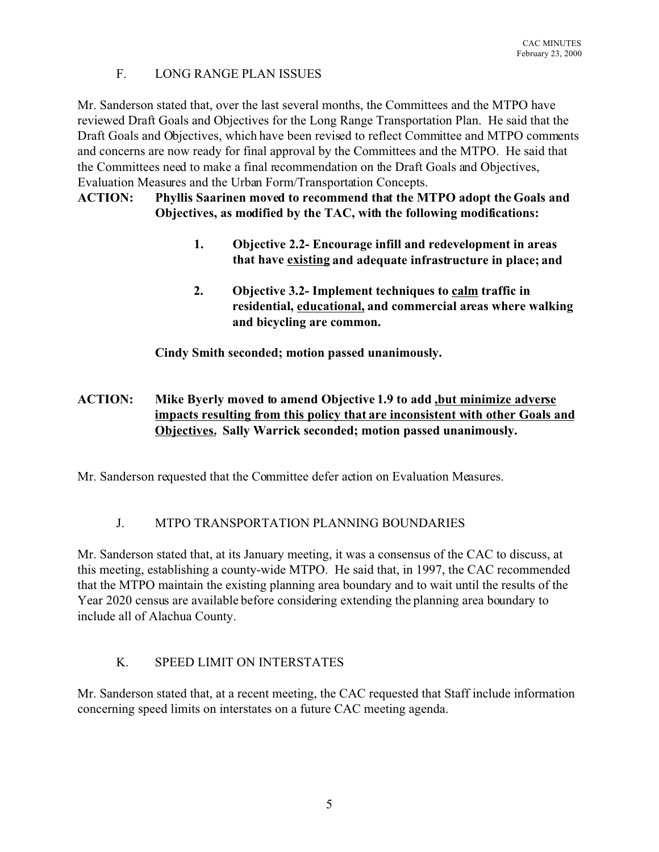# F. LONG RANGE PLAN ISSUES

Mr. Sanderson stated that, over the last several months, the Committees and the MTPO have reviewed Draft Goals and Objectives for the Long Range Transportation Plan. He said that the Draft Goals and Objectives, which have been revised to reflect Committee and MTPO comments and concerns are now ready for final approval by the Committees and the MTPO. He said that the Committees need to make a final recommendation on the Draft Goals and Objectives, Evaluation Measures and the Urban Form/Transportation Concepts.

### **ACTION: Phyllis Saarinen moved to recommend that the MTPO adopt the Goals and Objectives, as modified by the TAC, with the following modifications:**

- **1. Objective 2.2- Encourage infill and redevelopment in areas that have existing and adequate infrastructure in place; and**
- **2. Objective 3.2- Implement techniques to calm traffic in residential, educational, and commercial areas where walking and bicycling are common.**

**Cindy Smith seconded; motion passed unanimously.**

# **ACTION: Mike Byerly moved to amend Objective 1.9 to add ,but minimize adverse impacts resulting from this policy that are inconsistent with other Goals and Objectives. Sally Warrick seconded; motion passed unanimously.**

Mr. Sanderson requested that the Committee defer action on Evaluation Measures.

# J. MTPO TRANSPORTATION PLANNING BOUNDARIES

Mr. Sanderson stated that, at its January meeting, it was a consensus of the CAC to discuss, at this meeting, establishing a county-wide MTPO. He said that, in 1997, the CAC recommended that the MTPO maintain the existing planning area boundary and to wait until the results of the Year 2020 census are available before considering extending the planning area boundary to include all of Alachua County.

# K. SPEED LIMIT ON INTERSTATES

Mr. Sanderson stated that, at a recent meeting, the CAC requested that Staff include information concerning speed limits on interstates on a future CAC meeting agenda.